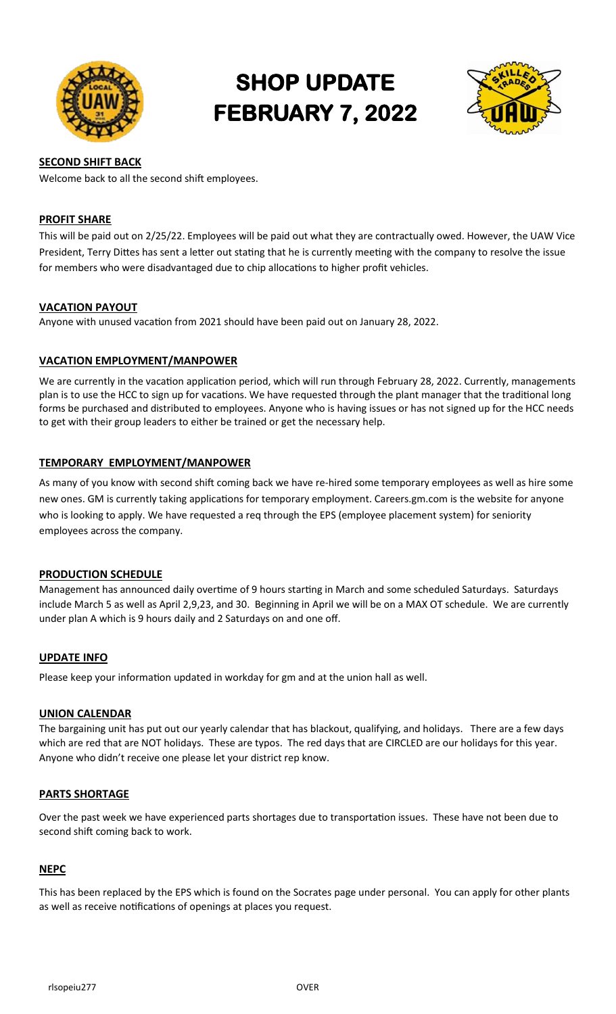

# **SHOP UPDATE FEBRUARY 7, 2022**



# **SECOND SHIFT BACK**

Welcome back to all the second shift employees.

#### **PROFIT SHARE**

This will be paid out on 2/25/22. Employees will be paid out what they are contractually owed. However, the UAW Vice President, Terry Dittes has sent a letter out stating that he is currently meeting with the company to resolve the issue for members who were disadvantaged due to chip allocations to higher profit vehicles.

#### **VACATION PAYOUT**

Anyone with unused vacation from 2021 should have been paid out on January 28, 2022.

# **VACATION EMPLOYMENT/MANPOWER**

We are currently in the vacation application period, which will run through February 28, 2022. Currently, managements plan is to use the HCC to sign up for vacations. We have requested through the plant manager that the traditional long forms be purchased and distributed to employees. Anyone who is having issues or has not signed up for the HCC needs to get with their group leaders to either be trained or get the necessary help.

# **TEMPORARY EMPLOYMENT/MANPOWER**

As many of you know with second shift coming back we have re-hired some temporary employees as well as hire some new ones. GM is currently taking applications for temporary employment. Careers.gm.com is the website for anyone who is looking to apply. We have requested a req through the EPS (employee placement system) for seniority employees across the company.

#### **PRODUCTION SCHEDULE**

Management has announced daily overtime of 9 hours starting in March and some scheduled Saturdays. Saturdays include March 5 as well as April 2,9,23, and 30. Beginning in April we will be on a MAX OT schedule. We are currently under plan A which is 9 hours daily and 2 Saturdays on and one off.

#### **UPDATE INFO**

Please keep your information updated in workday for gm and at the union hall as well.

#### **UNION CALENDAR**

The bargaining unit has put out our yearly calendar that has blackout, qualifying, and holidays. There are a few days which are red that are NOT holidays. These are typos. The red days that are CIRCLED are our holidays for this year. Anyone who didn't receive one please let your district rep know.

#### **PARTS SHORTAGE**

Over the past week we have experienced parts shortages due to transportation issues. These have not been due to second shift coming back to work.

#### **NEPC**

This has been replaced by the EPS which is found on the Socrates page under personal. You can apply for other plants as well as receive notifications of openings at places you request.